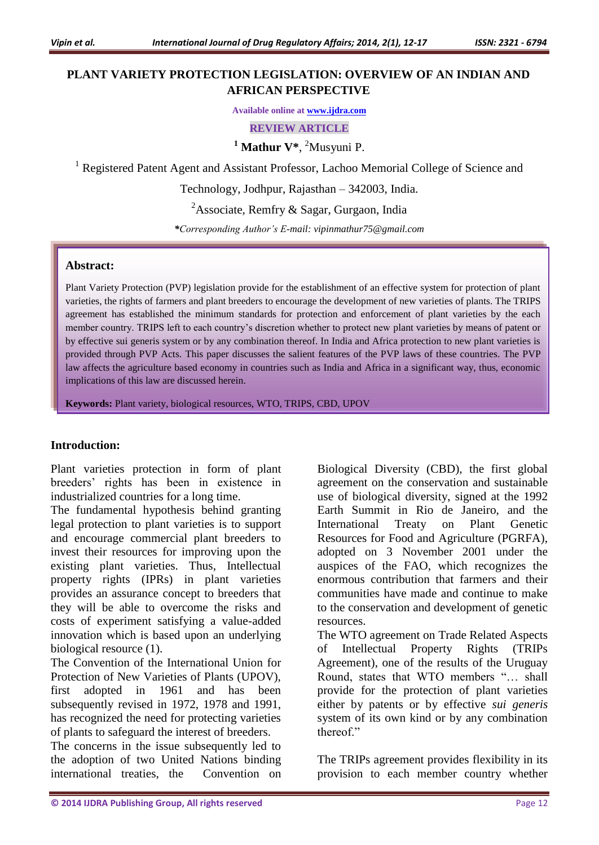# **PLANT VARIETY PROTECTION LEGISLATION: OVERVIEW OF AN INDIAN AND AFRICAN PERSPECTIVE**

**Available online at [www.ijdra.com](http://www.ijdra.com/)**

**REVIEW ARTICLE**

**<sup>1</sup> Mathur V\***, <sup>2</sup>Musyuni P.

<sup>1</sup> Registered Patent Agent and Assistant Professor, Lachoo Memorial College of Science and

Technology, Jodhpur, Rajasthan – 342003, India.

<sup>2</sup>Associate, Remfry & Sagar, Gurgaon, India

*\*Corresponding Author's E-mail: [vipinmathur75@gmail.com](mailto:vipinmathur75@gmail.com)*

#### **Abstract:**

Plant Variety Protection (PVP) legislation provide for the establishment of an effective system for protection of plant varieties, the rights of farmers and plant breeders to encourage the development of new varieties of plants. The TRIPS agreement has established the minimum standards for protection and enforcement of plant varieties by the each member country. TRIPS left to each country's discretion whether to protect new plant varieties by means of patent or by effective sui generis system or by any combination thereof. In India and Africa protection to new plant varieties is provided through PVP Acts. This paper discusses the salient features of the PVP laws of these countries. The PVP law affects the agriculture based economy in countries such as India and Africa in a significant way, thus, economic implications of this law are discussed herein.

**Keywords:** Plant variety, biological resources, WTO, TRIPS, CBD, UPOV

### **Introduction:**

Plant varieties protection in form of plant breeders' rights has been in existence in industrialized countries for a long time.

The fundamental hypothesis behind granting legal protection to plant varieties is to support and encourage commercial plant breeders to invest their resources for improving upon the existing plant varieties. Thus, Intellectual property rights (IPRs) in plant varieties provides an assurance concept to breeders that they will be able to overcome the risks and costs of experiment satisfying a value-added innovation which is based upon an underlying biological resource (1).

The Convention of the International Union for Protection of New Varieties of Plants (UPOV), first adopted in 1961 and has been subsequently revised in 1972, 1978 and 1991, has recognized the need for protecting varieties of plants to safeguard the interest of breeders.

The concerns in the issue subsequently led to the adoption of two United Nations binding international treaties, the Convention on Biological Diversity (CBD), the first global agreement on the conservation and sustainable use of biological diversity, signed at the 1992 Earth Summit in Rio de Janeiro, and the International Treaty on Plant Genetic Resources for Food and Agriculture (PGRFA), adopted on 3 November 2001 under the auspices of the FAO, which recognizes the enormous contribution that farmers and their communities have made and continue to make to the conservation and development of genetic resources.

The WTO agreement on Trade Related Aspects of Intellectual Property Rights (TRIPs Agreement), one of the results of the Uruguay Round, states that WTO members "… shall provide for the protection of plant varieties either by patents or by effective *sui generis* system of its own kind or by any combination thereof."

The TRIPs agreement provides flexibility in its provision to each member country whether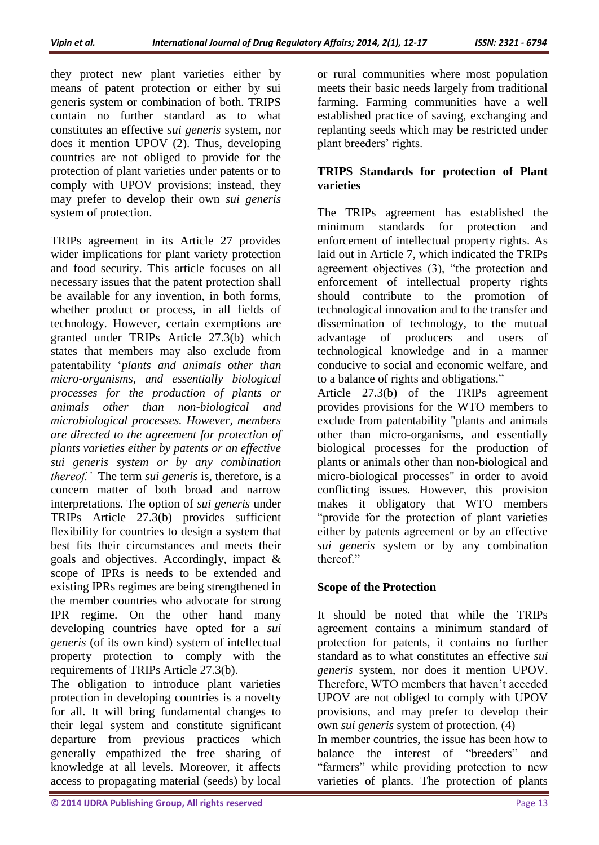they protect new plant varieties either by means of patent protection or either by sui generis system or combination of both. TRIPS contain no further standard as to what constitutes an effective *sui generis* system, nor does it mention UPOV (2). Thus, developing countries are not obliged to provide for the protection of plant varieties under patents or to comply with UPOV provisions; instead, they may prefer to develop their own *sui generis* system of protection.

TRIPs agreement in its Article 27 provides wider implications for plant variety protection and food security. This article focuses on all necessary issues that the patent protection shall be available for any invention, in both forms, whether product or process, in all fields of technology. However, certain exemptions are granted under TRIPs Article 27.3(b) which states that members may also exclude from patentability '*plants and animals other than micro-organisms, and essentially biological processes for the production of plants or animals other than non-biological and microbiological processes. However, members are directed to the agreement for protection of plants varieties either by patents or an effective sui generis system or by any combination thereof.'* The term *sui generis* is, therefore, is a concern matter of both broad and narrow interpretations. The option of *sui generis* under TRIPs Article 27.3(b) provides sufficient flexibility for countries to design a system that best fits their circumstances and meets their goals and objectives. Accordingly, impact & scope of IPRs is needs to be extended and existing IPRs regimes are being strengthened in the member countries who advocate for strong IPR regime. On the other hand many developing countries have opted for a *sui generis* (of its own kind) system of intellectual property protection to comply with the requirements of TRIPs Article 27.3(b).

The obligation to introduce plant varieties protection in developing countries is a novelty for all. It will bring fundamental changes to their legal system and constitute significant departure from previous practices which generally empathized the free sharing of knowledge at all levels. Moreover, it affects access to propagating material (seeds) by local

or rural communities where most population meets their basic needs largely from traditional farming. Farming communities have a well established practice of saving, exchanging and replanting seeds which may be restricted under plant breeders' rights.

## **TRIPS Standards for protection of Plant varieties**

The TRIPs agreement has established the minimum standards for protection and enforcement of intellectual property rights. As laid out in Article 7, which indicated the TRIPs agreement objectives (3), "the protection and enforcement of intellectual property rights should contribute to the promotion of technological innovation and to the transfer and dissemination of technology, to the mutual advantage of producers and users of technological knowledge and in a manner conducive to social and economic welfare, and to a balance of rights and obligations."

Article 27.3(b) of the TRIPs agreement provides provisions for the WTO members to exclude from patentability "plants and animals other than micro-organisms, and essentially biological processes for the production of plants or animals other than non-biological and micro-biological processes" in order to avoid conflicting issues. However, this provision makes it obligatory that WTO members "provide for the protection of plant varieties either by patents agreement or by an effective *sui generis* system or by any combination thereof"

# **Scope of the Protection**

It should be noted that while the TRIPs agreement contains a minimum standard of protection for patents, it contains no further standard as to what constitutes an effective *sui generis* system, nor does it mention UPOV. Therefore, WTO members that haven't acceded UPOV are not obliged to comply with UPOV provisions, and may prefer to develop their own *sui generis* system of protection. (4) In member countries, the issue has been how to balance the interest of "breeders" and "farmers" while providing protection to new varieties of plants. The protection of plants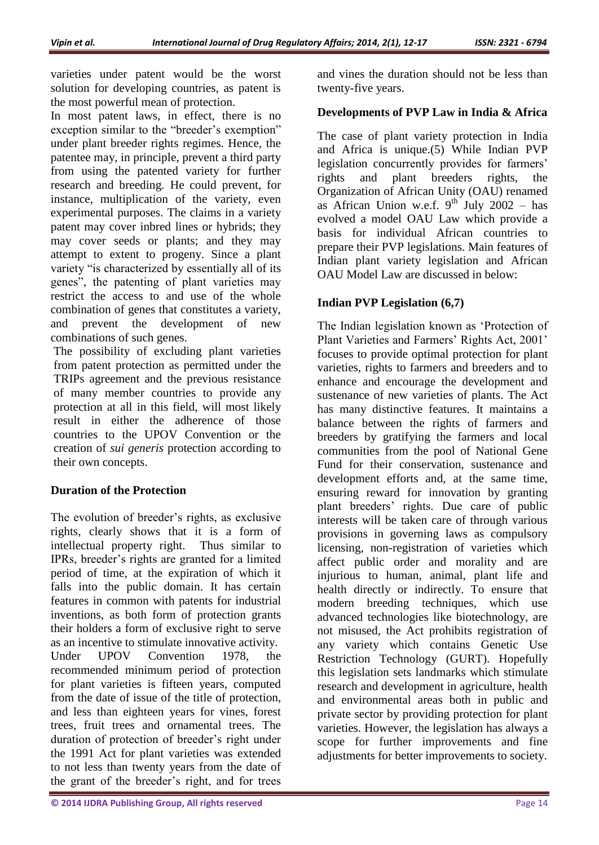varieties under patent would be the worst solution for developing countries, as patent is the most powerful mean of protection.

In most patent laws, in effect, there is no exception similar to the "breeder's exemption" under plant breeder rights regimes. Hence, the patentee may, in principle, prevent a third party from using the patented variety for further research and breeding. He could prevent, for instance, multiplication of the variety, even experimental purposes. The claims in a variety patent may cover inbred lines or hybrids; they may cover seeds or plants; and they may attempt to extent to progeny. Since a plant variety "is characterized by essentially all of its genes", the patenting of plant varieties may restrict the access to and use of the whole combination of genes that constitutes a variety, and prevent the development of new combinations of such genes.

The possibility of excluding plant varieties from patent protection as permitted under the TRIPs agreement and the previous resistance of many member countries to provide any protection at all in this field, will most likely result in either the adherence of those countries to the UPOV Convention or the creation of *sui generis* protection according to their own concepts.

# **Duration of the Protection**

The evolution of breeder's rights, as exclusive rights, clearly shows that it is a form of intellectual property right. Thus similar to IPRs, breeder's rights are granted for a limited period of time, at the expiration of which it falls into the public domain. It has certain features in common with patents for industrial inventions, as both form of protection grants their holders a form of exclusive right to serve as an incentive to stimulate innovative activity. Under UPOV Convention 1978, the recommended minimum period of protection for plant varieties is fifteen years, computed from the date of issue of the title of protection, and less than eighteen years for vines, forest trees, fruit trees and ornamental trees. The duration of protection of breeder's right under the 1991 Act for plant varieties was extended to not less than twenty years from the date of the grant of the breeder's right, and for trees

and vines the duration should not be less than twenty-five years.

# **Developments of PVP Law in India & Africa**

The case of plant variety protection in India and Africa is unique.(5) While Indian PVP legislation concurrently provides for farmers' rights and plant breeders rights, the Organization of African Unity (OAU) renamed as African Union w.e.f.  $9^{th}$  July 2002 – has evolved a model OAU Law which provide a basis for individual African countries to prepare their PVP legislations. Main features of Indian plant variety legislation and African OAU Model Law are discussed in below:

# **Indian PVP Legislation (6,7)**

The Indian legislation known as 'Protection of Plant Varieties and Farmers' Rights Act, 2001' focuses to provide optimal protection for plant varieties, rights to farmers and breeders and to enhance and encourage the development and sustenance of new varieties of plants. The Act has many distinctive features. It maintains a balance between the rights of farmers and breeders by gratifying the farmers and local communities from the pool of National Gene Fund for their conservation, sustenance and development efforts and, at the same time, ensuring reward for innovation by granting plant breeders' rights. Due care of public interests will be taken care of through various provisions in governing laws as compulsory licensing, non-registration of varieties which affect public order and morality and are injurious to human, animal, plant life and health directly or indirectly. To ensure that modern breeding techniques, which use advanced technologies like biotechnology, are not misused, the Act prohibits registration of any variety which contains Genetic Use Restriction Technology (GURT). Hopefully this legislation sets landmarks which stimulate research and development in agriculture, health and environmental areas both in public and private sector by providing protection for plant varieties. However, the legislation has always a scope for further improvements and fine adjustments for better improvements to society.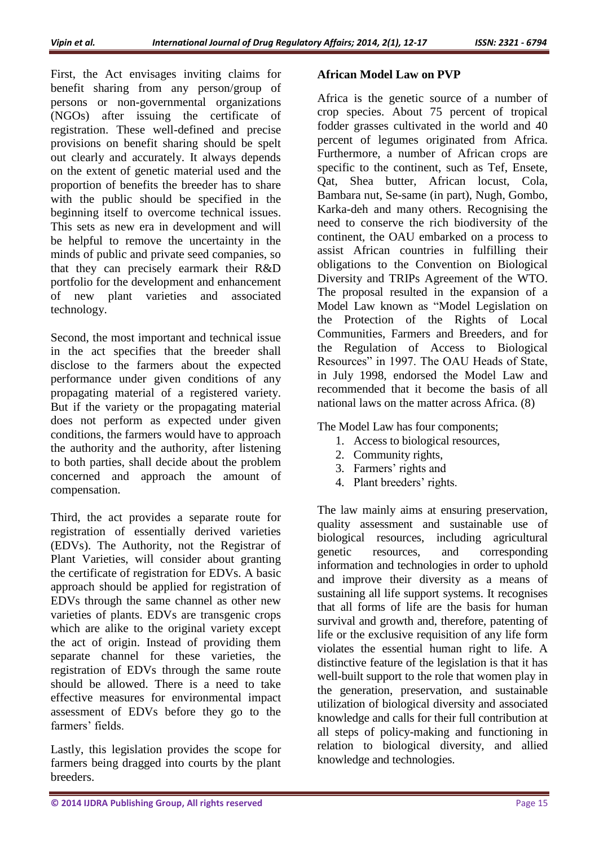First, the Act envisages inviting claims for benefit sharing from any person/group of persons or non-governmental organizations (NGOs) after issuing the certificate of registration. These well-defined and precise provisions on benefit sharing should be spelt out clearly and accurately. It always depends on the extent of genetic material used and the proportion of benefits the breeder has to share with the public should be specified in the beginning itself to overcome technical issues. This sets as new era in development and will be helpful to remove the uncertainty in the minds of public and private seed companies, so that they can precisely earmark their R&D portfolio for the development and enhancement of new plant varieties and associated technology.

Second, the most important and technical issue in the act specifies that the breeder shall disclose to the farmers about the expected performance under given conditions of any propagating material of a registered variety. But if the variety or the propagating material does not perform as expected under given conditions, the farmers would have to approach the authority and the authority, after listening to both parties, shall decide about the problem concerned and approach the amount of compensation.

Third, the act provides a separate route for registration of essentially derived varieties (EDVs). The Authority, not the Registrar of Plant Varieties, will consider about granting the certificate of registration for EDVs. A basic approach should be applied for registration of EDVs through the same channel as other new varieties of plants. EDVs are transgenic crops which are alike to the original variety except the act of origin. Instead of providing them separate channel for these varieties, the registration of EDVs through the same route should be allowed. There is a need to take effective measures for environmental impact assessment of EDVs before they go to the farmers' fields.

Lastly, this legislation provides the scope for farmers being dragged into courts by the plant breeders.

## **African Model Law on PVP**

Africa is the genetic source of a number of crop species. About 75 percent of tropical fodder grasses cultivated in the world and 40 percent of legumes originated from Africa. Furthermore, a number of African crops are specific to the continent, such as Tef, Ensete, Qat, Shea butter, African locust, Cola, Bambara nut, Se-same (in part), Nugh, Gombo, Karka-deh and many others. Recognising the need to conserve the rich biodiversity of the continent, the OAU embarked on a process to assist African countries in fulfilling their obligations to the Convention on Biological Diversity and TRIPs Agreement of the WTO. The proposal resulted in the expansion of a Model Law known as "Model Legislation on the Protection of the Rights of Local Communities, Farmers and Breeders, and for the Regulation of Access to Biological Resources" in 1997. The OAU Heads of State, in July 1998, endorsed the Model Law and recommended that it become the basis of all national laws on the matter across Africa. (8)

The Model Law has four components;

- 1. Access to biological resources,
- 2. Community rights,
- 3. Farmers' rights and
- 4. Plant breeders' rights.

The law mainly aims at ensuring preservation, quality assessment and sustainable use of biological resources, including agricultural genetic resources, and corresponding information and technologies in order to uphold and improve their diversity as a means of sustaining all life support systems. It recognises that all forms of life are the basis for human survival and growth and, therefore, patenting of life or the exclusive requisition of any life form violates the essential human right to life. A distinctive feature of the legislation is that it has well-built support to the role that women play in the generation, preservation, and sustainable utilization of biological diversity and associated knowledge and calls for their full contribution at all steps of policy-making and functioning in relation to biological diversity, and allied knowledge and technologies.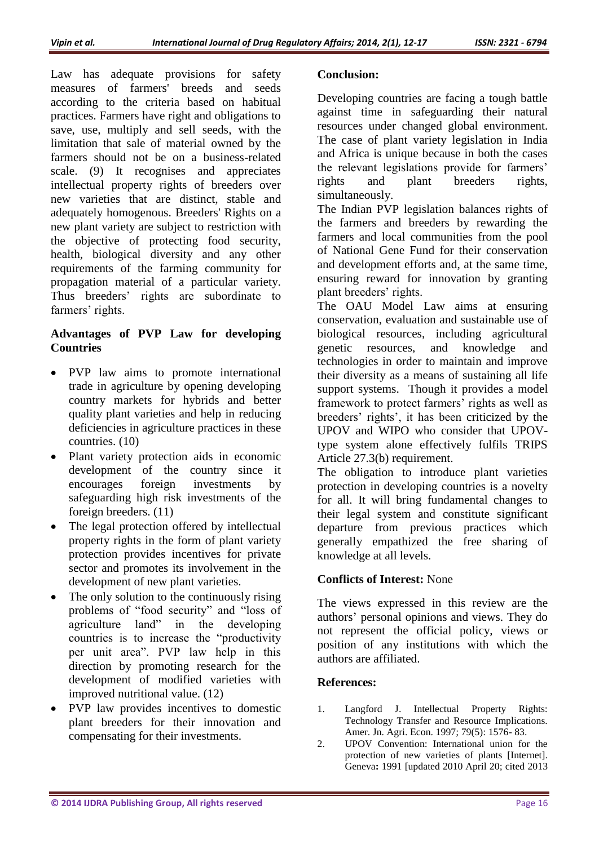Law has adequate provisions for safety measures of farmers' breeds and seeds according to the criteria based on habitual practices. Farmers have right and obligations to save, use, multiply and sell seeds, with the limitation that sale of material owned by the farmers should not be on a business-related scale. (9) It recognises and appreciates intellectual property rights of breeders over new varieties that are distinct, stable and adequately homogenous. Breeders' Rights on a new plant variety are subject to restriction with the objective of protecting food security, health, biological diversity and any other requirements of the farming community for propagation material of a particular variety. Thus breeders' rights are subordinate to farmers' rights.

### **Advantages of PVP Law for developing Countries**

- PVP law aims to promote international trade in agriculture by opening developing country markets for hybrids and better quality plant varieties and help in reducing deficiencies in agriculture practices in these countries. (10)
- Plant variety protection aids in economic development of the country since it encourages foreign investments by safeguarding high risk investments of the foreign breeders. (11)
- The legal protection offered by intellectual property rights in the form of plant variety protection provides incentives for private sector and promotes its involvement in the development of new plant varieties.
- The only solution to the continuously rising problems of "food security" and "loss of agriculture land" in the developing countries is to increase the "productivity per unit area". PVP law help in this direction by promoting research for the development of modified varieties with improved nutritional value. (12)
- PVP law provides incentives to domestic plant breeders for their innovation and compensating for their investments.

### **Conclusion:**

Developing countries are facing a tough battle against time in safeguarding their natural resources under changed global environment. The case of plant variety legislation in India and Africa is unique because in both the cases the relevant legislations provide for farmers' rights and plant breeders rights, simultaneously.

The Indian PVP legislation balances rights of the farmers and breeders by rewarding the farmers and local communities from the pool of National Gene Fund for their conservation and development efforts and, at the same time, ensuring reward for innovation by granting plant breeders' rights.

The OAU Model Law aims at ensuring conservation, evaluation and sustainable use of biological resources, including agricultural genetic resources, and knowledge and technologies in order to maintain and improve their diversity as a means of sustaining all life support systems. Though it provides a model framework to protect farmers' rights as well as breeders' rights', it has been criticized by the UPOV and WIPO who consider that UPOVtype system alone effectively fulfils TRIPS Article 27.3(b) requirement.

The obligation to introduce plant varieties protection in developing countries is a novelty for all. It will bring fundamental changes to their legal system and constitute significant departure from previous practices which generally empathized the free sharing of knowledge at all levels.

# **Conflicts of Interest:** None

The views expressed in this review are the authors' personal opinions and views. They do not represent the official policy, views or position of any institutions with which the authors are affiliated.

### **References:**

- 1. Langford J. Intellectual Property Rights: Technology Transfer and Resource Implications. Amer. Jn. Agri. Econ. 1997; 79(5): 1576- 83.
- 2. UPOV Convention: International union for the protection of new varieties of plants [Internet]. Geneva**:** 1991 [updated 2010 April 20; cited 2013